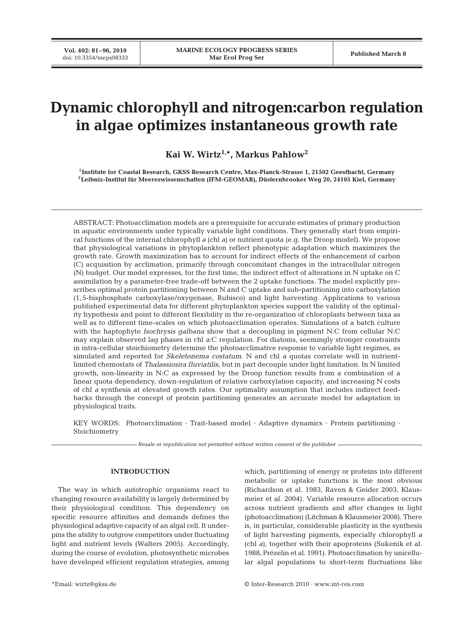# **Dynamic chlorophyll and nitrogen:carbon regulation in algae optimizes instantaneous growth rate**

**Kai W. Wirtz1,\*, Markus Pahlow2**

**1Institute for Coastal Research, GKSS Research Centre, Max-Planck-Strasse 1, 21502 Geesthacht, Germany 2Leibniz-Institut für Meereswissenschaften (IFM-GEOMAR), Düsternbrooker Weg 20, 24105 Kiel, Germany**

ABSTRACT: Photoacclimation models are a prerequisite for accurate estimates of primary production in aquatic environments under typically variable light conditions. They generally start from empirical functions of the internal chlorophyll *a* (chl *a*) or nutrient quota (e.g. the Droop model). We propose that physiological variations in phytoplankton reflect phenotypic adaptation which maximizes the growth rate. Growth maximization has to account for indirect effects of the enhancement of carbon (C) acquisition by acclimation, primarily through concomitant changes in the intracellular nitrogen (N) budget. Our model expresses, for the first time, the indirect effect of alterations in N uptake on C assimilation by a parameter-free trade-off between the 2 uptake functions. The model explicitly prescribes optimal protein partitioning between N and C uptake and sub-partitioning into carboxylation (1, 5-bisphosphate carboxylase/oxygenase, Rubisco) and light harvesting. Applications to various published experimental data for different phytoplankton species support the validity of the optimality hypothesis and point to different flexibility in the re-organization of chloroplasts between taxa as well as to different time-scales on which photoacclimation operates. Simulations of a batch culture with the haptophyte *Isochrysis galbana* show that a decoupling in pigment N:C from cellular N:C may explain observed lag phases in chl *a*:C regulation. For diatoms, seemingly stronger constraints in intra-cellular stoichiometry determine the photoacclimative response to variable light regimes, as simulated and reported for *Skeletonema costatum*. N and chl *a* quotas correlate well in nutrientlimited chemostats of *Thalassiosira fluviatilis*, but in part decouple under light limitation. In N limited growth, non-linearity in N:C as expressed by the Droop function results from a combination of a linear quota dependency, down-regulation of relative carboxylation capacity, and increasing N costs of chl *a* synthesis at elevated growth rates. Our optimality assumption that includes indirect feedbacks through the concept of protein partitioning generates an accurate model for adaptation in physiological traits.

KEY WORDS: Photoacclimation · Trait-based model · Adaptive dynamics · Protein partitioning · Stoichiometry

*Resale or republication not permitted without written consent of the publisher*

# **INTRODUCTION**

The way in which autotrophic organisms react to changing resource availability is largely determined by their physiological condition. This dependency on specific resource affinities and demands defines the physiological adaptive capacity of an algal cell. It underpins the ability to outgrow competitors under fluctuating light and nutrient levels (Walters 2005). Accordingly, during the course of evolution, photosynthetic microbes have developed efficient regulation strategies, among

which, partitioning of energy or proteins into different metabolic or uptake functions is the most obvious (Richardson et al. 1983, Raven & Geider 2003, Klausmeier et al. 2004). Variable resource allocation occurs across nutrient gradients and after changes in light (photoacclimation) (Litchman & Klausmeier 2008). There is, in particular, considerable plasticity in the synthesis of light harvesting pigments, especially chlorophyll *a* (chl *a*), together with their apoproteins (Sukenik et al. 1988, Prézelin et al. 1991). Photoacclimation by unicellular algal populations to short-term fluctuations like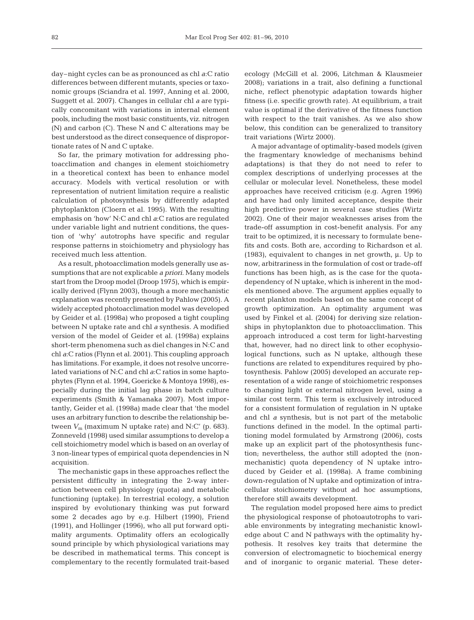day–night cycles can be as pronounced as chl *a*:C ratio differences between different mutants, species or taxonomic groups (Sciandra et al. 1997, Anning et al. 2000, Suggett et al. 2007). Changes in cellular chl *a* are typically concomitant with variations in internal element pools, including the most basic constituents, viz. nitrogen (N) and carbon (C). These N and C alterations may be best understood as the direct consequence of disproportionate rates of N and C uptake.

So far, the primary motivation for addressing photoacclimation and changes in element stoichiometry in a theoretical context has been to enhance model accuracy. Models with vertical resolution or with representation of nutrient limitation require a realistic calculation of photosynthesis by differently adapted phytoplankton (Cloern et al. 1995). With the resulting emphasis on 'how' N:C and chl *a*:C ratios are regulated under variable light and nutrient conditions, the question of 'why' autotrophs have specific and regular response patterns in stoichiometry and physiology has received much less attention.

As a result, photoacclimation models generally use assumptions that are not explicable *a priori*. Many models start from the Droop model (Droop 1975), which is empirically derived (Flynn 2003), though a more mechanistic explanation was recently presented by Pahlow (2005). A widely accepted photoacclimation model was developed by Geider et al. (1998a) who proposed a tight coupling between N uptake rate and chl *a* synthesis. A modified version of the model of Geider et al. (1998a) explains short-term phenomena such as diel changes in N:C and chl *a*:C ratios (Flynn et al. 2001). This coupling approach has limitations. For example, it does not resolve uncorrelated variations of N:C and chl *a*:C ratios in some haptophytes (Flynn et al. 1994, Goericke & Montoya 1998), especially during the initial lag phase in batch culture experiments (Smith & Yamanaka 2007). Most importantly, Geider et al. (1998a) made clear that 'the model uses an arbitrary function to describe the relationship between  $V_m$  (maximum N uptake rate) and N:C' (p. 683). Zonneveld (1998) used similar assumptions to develop a cell stoichiometry model which is based on an overlay of 3 non-linear types of empirical quota dependencies in N acquisition.

The mechanistic gaps in these approaches reflect the persistent difficulty in integrating the 2-way interaction between cell physiology (quota) and metabolic functioning (uptake). In terrestrial ecology, a solution inspired by evolutionary thinking was put forward some 2 decades ago by e.g. Hilbert (1990), Friend (1991), and Hollinger (1996), who all put forward optimality arguments. Optimality offers an ecologically sound principle by which physiological variations may be described in mathematical terms. This concept is complementary to the recently formulated trait-based ecology (McGill et al. 2006, Litchman & Klausmeier 2008); variations in a trait, also defining a functional niche, reflect phenotypic adaptation towards higher fitness (i.e. specific growth rate). At equilibrium, a trait value is optimal if the derivative of the fitness function with respect to the trait vanishes. As we also show below, this condition can be generalized to transitory trait variations (Wirtz 2000).

A major advantage of optimality-based models (given the fragmentary knowledge of mechanisms behind adaptations) is that they do not need to refer to complex descriptions of underlying processes at the cellular or molecular level. Nonetheless, these model approaches have received criticism (e.g. Agren 1996) and have had only limited acceptance, despite their high predictive power in several case studies (Wirtz 2002). One of their major weaknesses arises from the trade-off assumption in cost-benefit analysis. For any trait to be optimized, it is necessary to formulate benefits and costs. Both are, according to Richardson et al. (1983), equivalent to changes in net growth, μ. Up to now, arbitrariness in the formulation of cost or trade-off functions has been high, as is the case for the quotadependency of N uptake, which is inherent in the models mentioned above. The argument applies equally to recent plankton models based on the same concept of growth optimization. An optimality argument was used by Finkel et al. (2004) for deriving size relationships in phytoplankton due to photoacclimation. This approach introduced a cost term for light-harvesting that, however, had no direct link to other ecophysiological functions, such as N uptake, although these functions are related to expenditures required by photosynthesis. Pahlow (2005) developed an accurate representation of a wide range of stoichiometric responses to changing light or external nitrogen level, using a similar cost term. This term is exclusively introduced for a consistent formulation of regulation in N uptake and chl *a* synthesis, but is not part of the metabolic functions defined in the model. In the optimal partitioning model formulated by Armstrong (2006), costs make up an explicit part of the photosynthesis function; nevertheless, the author still adopted the (nonmechanistic) quota dependency of N uptake introduced by Geider et al. (1998a). A frame combining down-regulation of N uptake and optimization of intracellular stoichiometry without ad hoc assumptions, therefore still awaits development.

The regulation model proposed here aims to predict the physiological response of photoautotrophs to variable environments by integrating mechanistic knowledge about C and N pathways with the optimality hypothesis. It resolves key traits that determine the conversion of electromagnetic to biochemical energy and of inorganic to organic material. These deter-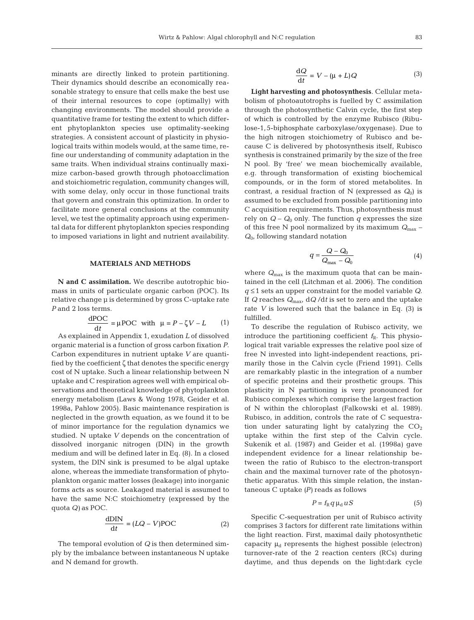(1)

minants are directly linked to protein partitioning. Their dynamics should describe an economically reasonable strategy to ensure that cells make the best use of their internal resources to cope (optimally) with changing environments. The model should provide a quantitative frame for testing the extent to which different phytoplankton species use optimality-seeking strategies. A consistent account of plasticity in physiological traits within models would, at the same time, refine our understanding of community adaptation in the same traits. When individual strains continually maximize carbon-based growth through photoacclimation and stoichiometric regulation, community changes will, with some delay, only occur in those functional traits that govern and constrain this optimization. In order to facilitate more general conclusions at the community level, we test the optimality approach using experimental data for different phytoplankton species responding to imposed variations in light and nutrient availability.

## **MATERIALS AND METHODS**

**N and C assimilation.** We describe autotrophic biomass in units of particulate organic carbon (POC). Its relative change μ is determined by gross C-uptake rate *P* and 2 loss terms.

$$
\frac{\text{dPOC}}{\text{d}t} = \mu \text{POC} \text{ with } \mu = P - \zeta V - L
$$

As explained in Appendix 1, exudation *L* of dissolved organic material is a function of gross carbon fixation *P*. Carbon expenditures in nutrient uptake *V* are quantified by the coefficient ζ that denotes the specific energy cost of N uptake. Such a linear relationship between N uptake and C respiration agrees well with empirical observations and theoretical knowledge of phytoplankton energy metabolism (Laws & Wong 1978, Geider et al. 1998a, Pahlow 2005). Basic maintenance respiration is neglected in the growth equation, as we found it to be of minor importance for the regulation dynamics we studied. N uptake *V* depends on the concentration of dissolved inorganic nitrogen (DIN) in the growth medium and will be defined later in Eq. (8). In a closed system, the DIN sink is presumed to be algal uptake alone, whereas the immediate transformation of phytoplankton organic matter losses (leakage) into inorganic forms acts as source. Leakaged material is assumed to have the same N:C stoichiometry (expressed by the quota *Q)* as POC.

$$
\frac{\text{dDIN}}{\text{d}t} = (LQ - V)\text{POC} \tag{2}
$$

The temporal evolution of *Q* is then determined simply by the imbalance between instantaneous N uptake and N demand for growth.

$$
\frac{\mathrm{d}Q}{\mathrm{d}t} = V - (\mu + L)Q\tag{3}
$$

**Light harvesting and photosynthesis**. Cellular metabolism of photoautotrophs is fuelled by C assimilation through the photosynthetic Calvin cycle, the first step of which is controlled by the enzyme Rubisco (Ribulose-1, 5-biphosphate carboxylase/oxygenase). Due to the high nitrogen stoichiometry of Rubisco and because C is delivered by photosynthesis itself, Rubisco synthesis is constrained primarily by the size of the free N pool. By 'free' we mean biochemically available, e.g. through transformation of existing biochemical compounds, or in the form of stored metabolites. In contrast, a residual fraction of N (expressed as  $Q_0$ ) is assumed to be excluded from possible partitioning into C acquisition requirements. Thus, photosynthesis must rely on  $Q - Q_0$  only. The function q expresses the size of this free N pool normalized by its maximum *Q*max – *Q*0, following standard notation

$$
q = \frac{Q - Q_0}{Q_{\text{max}} - Q_0} \tag{4}
$$

where  $Q_{\text{max}}$  is the maximum quota that can be maintained in the cell (Litchman et al. 2006). The condition *q* ≤ 1 sets an upper constraint for the model variable *Q*. If *Q* reaches *Q*max, d*Q* /d*t* is set to zero and the uptake rate *V* is lowered such that the balance in Eq. (3) is fulfilled.

To describe the regulation of Rubisco activity, we introduce the partitioning coefficient  $f_R$ . This physiological trait variable expresses the relative pool size of free N invested into light-independent reactions, primarily those in the Calvin cycle (Friend 1991). Cells are remarkably plastic in the integration of a number of specific proteins and their prosthetic groups. This plasticity in N partitioning is very pronounced for Rubisco complexes which comprise the largest fraction of N within the chloroplast (Falkowski et al. 1989). Rubisco, in addition, controls the rate of C sequestration under saturating light by catalyzing the  $CO<sub>2</sub>$ uptake within the first step of the Calvin cycle. Sukenik et al. (1987) and Geider et al. (1998a) gave independent evidence for a linear relationship between the ratio of Rubisco to the electron-transport chain and the maximal turnover rate of the photosynthetic apparatus. With this simple relation, the instantaneous C uptake *(P)* reads as follows

$$
P = f_{\rm R} q \,\mu_{\rm d} u \, S \tag{5}
$$

Specific C-sequestration per unit of Rubisco activity comprises 3 factors for different rate limitations within the light reaction. First, maximal daily photosynthetic capacity  $\mu_d$  represents the highest possible (electron) turnover-rate of the 2 reaction centers (RCs) during daytime, and thus depends on the light:dark cycle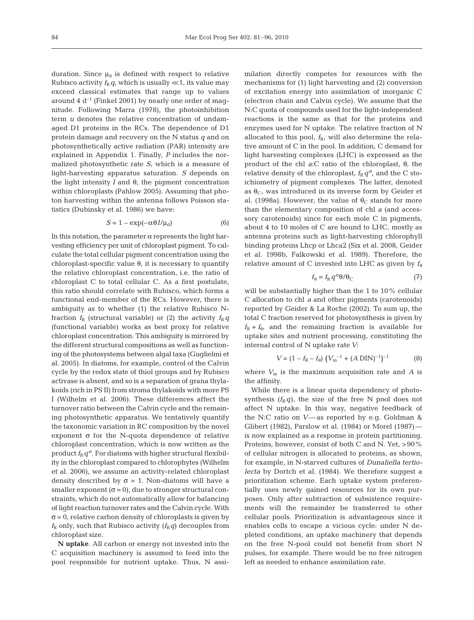duration. Since  $\mu_d$  is defined with respect to relative Rubisco activity  $f_R q$ , which is usually  $\ll 1$ , its value may exceed classical estimates that range up to values around 4  $d^{-1}$  (Finkel 2001) by nearly one order of magnitude. Following Marra (1978), the photoinhibition term *u* denotes the relative concentration of undamaged D1 proteins in the RCs. The dependence of D1 protein damage and recovery on the N status *q* and on photosynthetically active radiation (PAR) intensity are explained in Appendix 1. Finally, *P* includes the normalized photosynthetic rate *S*, which is a measure of light-harvesting apparatus saturation. *S* depends on the light intensity  $I$  and  $θ$ , the pigment concentration within chloroplasts (Pahlow 2005). Assuming that photon harvesting within the antenna follows Poisson statistics (Dubinsky et al. 1986) we have:

$$
S = 1 - \exp(-\alpha \theta I/\mu_{\rm d})
$$
 (6)

In this notation, the parameter  $\alpha$  represents the light harvesting efficiency per unit of chloroplast pigment. To calculate the total cellular pigment concentration using the chloroplast-specific value θ, it is necessary to quantify the relative chloroplast concentration, i.e. the ratio of chloroplast C to total cellular C. As a first postulate, this ratio should correlate with Rubisco, which forms a functional end-member of the RCs. However, there is ambiguity as to whether (1) the relative Rubisco Nfraction  $f_R$  (structural variable) or (2) the activity  $f_R q$ (functional variable) works as best proxy for relative chloroplast concentration. This ambiguity is mirrored by the different structural compositions as well as functioning of the photosystems between algal taxa (Guglielmi et al. 2005). In diatoms, for example, control of the Calvin cycle by the redox state of thiol groups and by Rubisco activase is absent, and so is a separation of grana thylakoids (rich in PS II) from stroma thylakoids with more PS I (Wilhelm et al. 2006). These differences affect the turnover ratio between the Calvin cycle and the remaining photosynthetic apparatus. We tentatively quantify the taxonomic variation in RC composition by the novel exponent σ for the N-quota dependence of relative chloroplast concentration, which is now written as the product  $f_{R}q^{\sigma}$ . For diatoms with higher structural flexibility in the chloroplast compared to chlorophytes (Wilhelm et al. 2006), we assume an activity-related chloroplast density described by  $\sigma = 1$ . Non-diatoms will have a smaller exponent  $(\sigma = 0)$ , due to stronger structural constraints, which do not automatically allow for balancing of light reaction turnover rates and the Calvin cycle. With  $\sigma$  = 0, relative carbon density of chloroplasts is given by  $f_R$  only, such that Rubisco activity  $(f_R q)$  decouples from chloroplast size.

**N uptake**. All carbon or energy not invested into the C acquisition machinery is assumed to feed into the pool responsible for nutrient uptake. Thus, N assimilation directly competes for resources with the mechanisms for (1) light harvesting and (2) conversion of excitation energy into assimilation of inorganic C (electron chain and Calvin cycle). We assume that the N:C quota of compounds used for the light-independent reactions is the same as that for the proteins and enzymes used for N uptake. The relative fraction of N allocated to this pool,  $f_R$ , will also determine the relative amount of C in the pool. In addition, C demand for light harvesting complexes (LHC) is expressed as the product of the chl *a*:C ratio of the chloroplast, θ, the relative density of the chloroplast,  $f_R q^{\sigma}$ , and the C stoichiometry of pigment complexes. The latter, denoted as  $\theta_{\rm C}$ , was introduced in its inverse form by Geider et al. (1998a). However, the value of  $\theta_C$  stands for more than the elementary composition of chl *a* (and accessory carotenoids) since for each mole C in pigments, about 4 to 10 moles of C are bound to LHC, mostly as antenna proteins such as light-harvesting chlorophyll binding proteins Lhcp or Lhca2 (Six et al. 2008, Geider et al. 1998b, Falkowski et al. 1989). Therefore, the relative amount of C invested into LHC as given by  $f_\theta$ 

$$
f_{\theta} = f_{\rm R} \, q^{\sigma} \theta / \theta_{\rm C} \tag{7}
$$

will be substantially higher than the 1 to 10% cellular C allocation to chl *a* and other pigments (carotenoids) reported by Geider & La Roche (2002). To sum up, the total C fraction reserved for photosynthesis is given by  $f_R + f_{\theta}$ , and the remaining fraction is available for uptake sites and nutrient processing, constituting the internal control of N uptake rate *V*:

$$
V = (1 - fR - f0) (Vm-1 + (A DIN)-1)-1
$$
 (8)

where  $V_m$  is the maximum acquisition rate and  $A$  is the affinity.

While there is a linear quota dependency of photosynthesis  $(f_R q)$ , the size of the free N pool does not affect N uptake. In this way, negative feedback of the N:C ratio on *V*— as reported by e.g. Goldman & Glibert (1982), Parslow et al. (1984) or Morel (1987) is now explained as a response in protein partitioning. Proteins, however, consist of both C and N. Yet, > 90% of cellular nitrogen is allocated to proteins, as shown, for example, in N-starved cultures of *Dunaliella tertiolecta* by Dortch et al. (1984). We therefore suggest a prioritization scheme. Each uptake system preferentially uses newly gained resources for its own purposes. Only after subtraction of subsistence requirements will the remainder be transferred to other cellular pools. Prioritization is advantageous since it enables cells to escape a vicious cycle: under N depleted conditions, an uptake machinery that depends on the free N-pool could not benefit from short N pulses, for example. There would be no free nitrogen left as needed to enhance assimilation rate.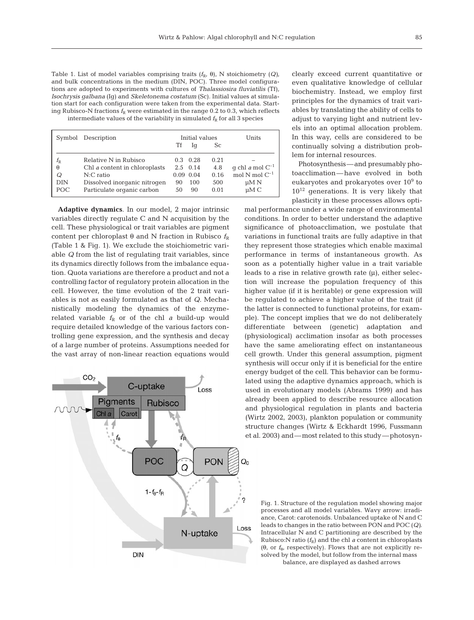Table 1. List of model variables comprising traits  $(f_R, \theta)$ , N stoichiometry  $(Q)$ , and bulk concentrations in the medium (DIN, POC). Three model configurations are adopted to experiments with cultures of *Thalassiosira fluviatilis* (Tf), *Isochrysis galbana* (Ig) and *Skeletonema costatum* (Sc). Initial values at simulation start for each configuration were taken from the experimental data. Starting Rubisco-N fractions  $f_R$  were estimated in the range 0.2 to 0.3, which reflects intermediate values of the variability in simulated  $f<sub>R</sub>$  for all 3 species

|             | Symbol Description            | Initial values |                  |               | Units                |
|-------------|-------------------------------|----------------|------------------|---------------|----------------------|
|             |                               | Tf             | lα               | <sub>Sc</sub> |                      |
| $f_{\rm R}$ | Relative N in Rubisco         |                | $0.3 \quad 0.28$ | 0.21          |                      |
| $\theta$    | Chl a content in chloroplasts |                | $2.5 \quad 0.14$ | 4.8           | g chl a mol $C^{-1}$ |
| Q           | $N:C$ ratio                   |                | $0.09$ $0.04$    | 0.16          | mol $N$ mol $C^{-1}$ |
| <b>DIN</b>  | Dissolved inorganic nitrogen  | 90             | 100              | 500           | $\mu$ M N            |
| POC.        | Particulate organic carbon    | 50             | 90               | 0.01          | $\mu$ M C            |

**Adaptive dynamics**. In our model, 2 major intrinsic variables directly regulate C and N acquisition by the cell. These physiological or trait variables are pigment content per chloroplast θ and N fraction in Rubisco  $f<sub>R</sub>$ (Table 1 & Fig. 1). We exclude the stoichiometric variable *Q* from the list of regulating trait variables, since its dynamics directly follows from the imbalance equation. Quota variations are therefore a product and not a controlling factor of regulatory protein allocation in the cell. However, the time evolution of the 2 trait variables is not as easily formulated as that of *Q*. Mechanistically modeling the dynamics of the enzymerelated variable  $f_R$  or of the chl *a* build-up would require detailed knowledge of the various factors controlling gene expression, and the synthesis and decay of a large number of proteins. Assumptions needed for the vast array of non-linear reaction equations would



clearly exceed current quantitative or even qualitative knowledge of cellular biochemistry. Instead, we employ first principles for the dynamics of trait variables by translating the ability of cells to adjust to varying light and nutrient levels into an optimal allocation problem. In this way, cells are considered to be continually solving a distribution problem for internal resources.

Photosynthesis—and presumably photoacclimation—have evolved in both eukaryotes and prokaryotes over 10<sup>9</sup> to  $10^{12}$  generations. It is very likely that plasticity in these processes allows opti-

mal performance under a wide range of environmental conditions. In order to better understand the adaptive significance of photoacclimation, we postulate that variations in functional traits are fully adaptive in that they represent those strategies which enable maximal performance in terms of instantaneous growth. As soon as a potentially higher value in a trait variable leads to a rise in relative growth rate (μ), either selection will increase the population frequency of this higher value (if it is heritable) or gene expression will be regulated to achieve a higher value of the trait (if the latter is connected to functional proteins, for example). The concept implies that we do not deliberately differentiate between (genetic) adaptation and (physiological) acclimation insofar as both processes have the same ameliorating effect on instantaneous cell growth. Under this general assumption, pigment synthesis will occur only if it is beneficial for the entire energy budget of the cell. This behavior can be formulated using the adaptive dynamics approach, which is used in evolutionary models (Abrams 1999) and has already been applied to describe resource allocation and physiological regulation in plants and bacteria (Wirtz 2002, 2003), plankton population or community structure changes (Wirtz & Eckhardt 1996, Fussmann et al. 2003) and—most related to this study—photosyn-

Fig. 1. Structure of the regulation model showing major processes and all model variables. Wavy arrow: irradiance, Carot: carotenoids. Unbalanced uptake of N and C leads to changes in the ratio between PON and POC (*Q)*. Intracellular N and C partitioning are described by the Rubisco:N ratio  $(f_R)$  and the chl *a* content in chloroplasts (θ, or  $f_\theta$ , respectively). Flows that are not explicitly resolved by the model, but follow from the internal mass balance, are displayed as dashed arrows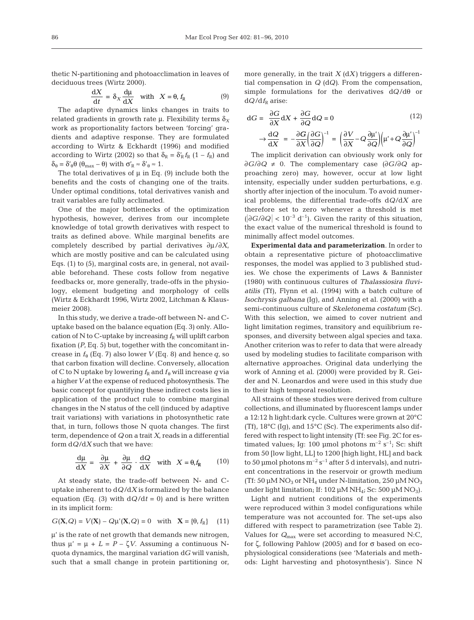thetic N-partitioning and photoacclimation in leaves of deciduous trees (Wirtz 2000).

$$
\frac{\mathrm{d}X}{\mathrm{d}t} = \delta_X \frac{\mathrm{d}\mu}{\mathrm{d}X} \quad \text{with} \quad X = \theta, \, f_R \tag{9}
$$

The adaptive dynamics links changes in traits to related gradients in growth rate  $\mu$ . Flexibility terms  $\delta_X$ work as proportionality factors between 'forcing' gradients and adaptive response. They are formulated according to Wirtz & Eckhardt (1996) and modified according to Wirtz (2002) so that  $\delta_{\rm R} = \delta'_{\rm R} f_{\rm R}$  (1 –  $f_{\rm R}$ ) and  $\delta_{\theta} = \delta'_{\theta} \theta (\theta_{\text{max}} - \theta)$  with  $\sigma'_{R} \approx \delta'_{\theta} \approx 1$ .

The total derivatives of  $\mu$  in Eq. (9) include both the benefits and the costs of changing one of the traits. Under optimal conditions, total derivatives vanish and trait variables are fully acclimated.

One of the major bottlenecks of the optimization hypothesis, however, derives from our incomplete knowledge of total growth derivatives with respect to traits as defined above. While marginal benefits are completely described by partial derivatives ∂μ/∂*X*, which are mostly positive and can be calculated using Eqs. (1) to (5), marginal costs are, in general, not available beforehand. These costs follow from negative feedbacks or, more generally, trade-offs in the physiology, element budgeting and morphology of cells (Wirtz & Eckhardt 1996, Wirtz 2002, Litchman & Klausmeier 2008).

In this study, we derive a trade-off between N- and Cuptake based on the balance equation (Eq. 3) only. Allocation of N to C-uptake by increasing  $f_R$  will uplift carbon fixation (*P*, Eq. 5) but, together with the concomitant increase in  $f_{\theta}$  (Eq. 7) also lower *V* (Eq. 8) and hence  $q$ , so that carbon fixation will decline. Conversely, allocation of C to N uptake by lowering  $f_R$  and  $f_\theta$  will increase q via a higher*V* at the expense of reduced photosynthesis. The basic concept for quantifying these indirect costs lies in application of the product rule to combine marginal changes in the N status of the cell (induced by adaptive trait variations) with variations in photosynthetic rate that, in turn, follows those N quota changes. The first term, dependence of *Q* on a trait *X*, reads in a differential form d*Q*/d*X* such that we have:

$$
\frac{d\mu}{dX} = \frac{\partial \mu}{\partial X} + \frac{\partial \mu}{\partial Q} \cdot \frac{dQ}{dX} \quad \text{with} \quad X = \theta_t f_R \tag{10}
$$

At steady state, the trade-off between N- and Cuptake inherent to d*Q* /d*X* is formalized by the balance equation (Eq. (3) with  $dQ/dt = 0$ ) and is here written in its implicit form:

$$
G(\mathbf{X}, Q) = V(\mathbf{X}) - Q\mu'(\mathbf{X}, Q) = 0 \quad \text{with} \quad \mathbf{X} = \{\theta, f_R\} \tag{11}
$$

μ' is the rate of net growth that demands new nitrogen, thus  $μ' = μ + L = P - ζV$ . Assuming a continuous Nquota dynamics, the marginal variation d*G* will vanish, such that a small change in protein partitioning or, more generally, in the trait *X* (d*X)* triggers a differential compensation in *Q* (d*Q)*. From the compensation, simple formulations for the derivatives d*Q* /dθ or  $dQ/df_R$  arise:

$$
dG = \frac{\partial G}{\partial X} dX + \frac{\partial G}{\partial Q} dQ = 0
$$
\n
$$
\rightarrow \frac{dQ}{dX} = -\frac{\partial G}{\partial X} \left(\frac{\partial G}{\partial Q}\right)^{-1} = \left(\frac{\partial V}{\partial X} - Q \frac{\partial \mu'}{\partial Q}\right) \left(\mu' + Q \frac{\partial \mu'}{\partial Q}\right)^{-1}
$$
\n(12)

The implicit derivation can obviously work only for ∂*G*/∂*Q* ≠ 0. The complementary case (∂*G*/∂*Q* approaching zero) may, however, occur at low light intensity, especially under sudden perturbations, e.g. shortly after injection of the inoculum. To avoid numerical problems, the differential trade-offs d*Q*/d*X* are therefore set to zero whenever a threshold is met  $\left| \frac{\partial G}{\partial Q} \right|$  < 10<sup>-3</sup> d<sup>-1</sup>). Given the rarity of this situation, the exact value of the numerical threshold is found to minimally affect model outcomes.

**Experimental data and parameterization**. In order to obtain a representative picture of photoacclimative responses, the model was applied to 3 published studies. We chose the experiments of Laws & Bannister (1980) with continuous cultures of *Thalassiosira fluviatilis* (Tf), Flynn et al. (1994) with a batch culture of *Isochrysis galbana* (Ig), and Anning et al. (2000) with a semi-continuous culture of *Skeletonema costatum* (Sc). With this selection, we aimed to cover nutrient and light limitation regimes, transitory and equilibrium responses, and diversity between algal species and taxa. Another criterion was to refer to data that were already used by modeling studies to facilitate comparison with alternative approaches. Original data underlying the work of Anning et al. (2000) were provided by R. Geider and N. Leonardos and were used in this study due to their high temporal resolution.

All strains of these studies were derived from culture collections, and illuminated by fluorescent lamps under a 12:12 h light:dark cycle. Cultures were grown at 20°C (Tf), 18°C (Ig), and 15°C (Sc). The experiments also differed with respect to light intensity (Tf: see Fig. 2C for estimated values; Ig: 100 µmol photons  $m^{-2}$  s<sup>-1</sup>; Sc: shift from 50 [low light, LL] to 1200 [high light, HL] and back to 50 µmol photons  $m^{-2} s^{-1}$  after 5 d intervals), and nutrient concentrations in the reservoir or growth medium (Tf: 50  $\mu$ M NO<sub>3</sub> or NH<sub>4</sub> under N-limitation, 250  $\mu$ M NO<sub>3</sub> under light limitation; If: 102 μM NH<sub>4</sub>; Sc: 500 μM NO<sub>3</sub>).

Light and nutrient conditions of the experiments were reproduced within 3 model configurations while temperature was not accounted for. The set-ups also differed with respect to parametrization (see Table 2). Values for *Q*max were set according to measured N:C, for ζ, following Pahlow (2005) and for σ based on ecophysiological considerations (see 'Materials and methods: Light harvesting and photosynthesis'). Since N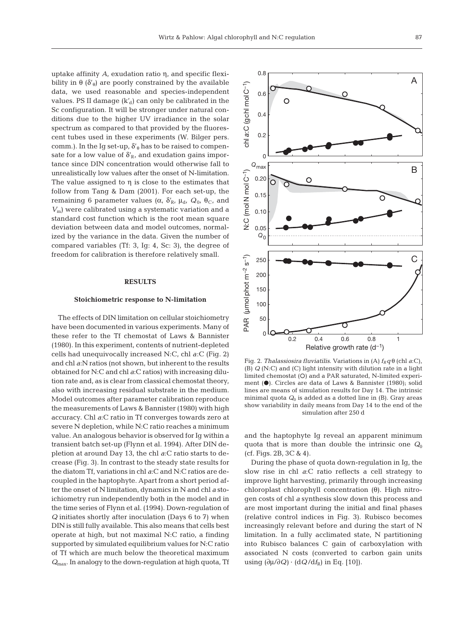uptake affinity *A*, exudation ratio η, and specific flexibility in  $\theta$  ( $\delta'_{\theta}$ ) are poorly constrained by the available data, we used reasonable and species-independent values. PS II damage  $(k'_d)$  can only be calibrated in the Sc configuration. It will be stronger under natural conditions due to the higher UV irradiance in the solar spectrum as compared to that provided by the fluorescent tubes used in these experiments (W. Bilger pers. comm.). In the Ig set-up,  $\delta'_{\theta}$  has to be raised to compensate for a low value of  $\delta'_{R}$ , and exudation gains importance since DIN concentration would otherwise fall to unrealistically low values after the onset of N-limitation. The value assigned to  $\eta$  is close to the estimates that follow from Tang & Dam (2001). For each set-up, the remaining 6 parameter values (α,  $\delta'_{\rm R}$ , μ<sub>d</sub>,  $Q_{0}$ , θ<sub>C</sub>, and *V*m) were calibrated using a systematic variation and a standard cost function which is the root mean square deviation between data and model outcomes, normalized by the variance in the data. Given the number of compared variables (Tf: 3, Ig: 4, Sc: 3), the degree of freedom for calibration is therefore relatively small.

## **RESULTS**

## **Stoichiometric response to N-limitation**

The effects of DIN limitation on cellular stoichiometry have been documented in various experiments. Many of these refer to the Tf chemostat of Laws & Bannister (1980). In this experiment, contents of nutrient-depleted cells had unequivocally increased N:C, chl *a*:C (Fig. 2) and chl *a*:N ratios (not shown, but inherent to the results obtained for N:C and chl *a*:C ratios) with increasing dilution rate and, as is clear from classical chemostat theory, also with increasing residual substrate in the medium. Model outcomes after parameter calibration reproduce the measurements of Laws & Bannister (1980) with high accuracy. Chl *a*:C ratio in Tf converges towards zero at severe N depletion, while N:C ratio reaches a minimum value. An analogous behavior is observed for Ig within a transient batch set-up (Flynn et al. 1994). After DIN depletion at around Day 13, the chl *a*:C ratio starts to decrease (Fig. 3). In contrast to the steady state results for the diatom Tf, variations in chl *a*:C and N:C ratios are decoupled in the haptophyte. Apart from a short period after the onset of N limitation, dynamics in N and chl *a* stoichiometry run independently both in the model and in the time series of Flynn et al. (1994). Down-regulation of *Q* initiates shortly after inoculation (Days 6 to 7) when DIN is still fully available. This also means that cells best operate at high, but not maximal N:C ratio, a finding supported by simulated equilibrium values for N:C ratio of Tf which are much below the theoretical maximum *Q*max. In analogy to the down-regulation at high quota, Tf



Fig. 2. *Thalassiosira fluviatilis*. Variations in (A)  $f_R q \theta$  (chl *a*:C), (B) *Q* (N:C) and (C) light intensity with dilution rate in a light limited chemostat (O) and a PAR saturated, N-limited experiment (●). Circles are data of Laws & Bannister (1980); solid lines are means of simulation results for Day 14. The intrinsic minimal quota *Q*<sup>0</sup> is added as a dotted line in (B). Gray areas show variability in daily means from Day 14 to the end of the simulation after 250 d

and the haptophyte Ig reveal an apparent minimum quota that is more than double the intrinsic one  $Q_0$ (cf. Figs. 2B, 3C & 4).

During the phase of quota down-regulation in Ig, the slow rise in chl *a*:C ratio reflects a cell strategy to improve light harvesting, primarily through increasing chloroplast chlorophyll concentration (θ). High nitrogen costs of chl *a* synthesis slow down this process and are most important during the initial and final phases (relative control indices in Fig. 3). Rubisco becomes increasingly relevant before and during the start of N limitation. In a fully acclimated state, N partitioning into Rubisco balances C gain of carboxylation with associated N costs (converted to carbon gain units using  $(\partial \mu / \partial Q) \cdot (dQ / df_R)$  in Eq. [10]).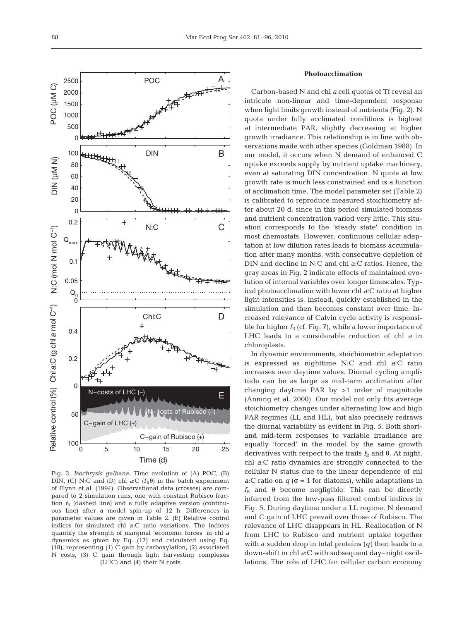

Fig. 3. *Isochrysis galbana*. Time evolution of (A) POC, (B) DIN, (C) N:C and (D) chl *a*:C  $(f_R \theta)$  in the batch experiment of Flynn et al. (1994). Observational data (crosses) are compared to 2 simulation runs, one with constant Rubisco fraction  $f_R$  (dashed line) and a fully adaptive version (continuous line) after a model spin-up of 12 h. Differences in parameter values are given in Table 2. (E) Relative control indices for simulated chl *a*:C ratio variations. The indices quantify the strength of marginal 'economic forces' in chl *a* dynamics as given by Eq. (17) and calculated using Eq. (18), representing (1) C gain by carboxylation, (2) associated N costs, (3) C gain through light harvesting complexes (LHC) and (4) their N costs

## **Photoacclimation**

Carbon-based N and chl *a* cell quotas of Tf reveal an intricate non-linear and time-dependent response when light limits growth instead of nutrients (Fig. 2). N quota under fully acclimated conditions is highest at intermediate PAR, slightly decreasing at higher growth irradiance. This relationship is in line with observations made with other species (Goldman 1988). In our model, it occurs when N demand of enhanced C uptake exceeds supply by nutrient uptake machinery, even at saturating DIN concentration. N quota at low growth rate is much less constrained and is a function of acclimation time. The model parameter set (Table 2) is calibrated to reproduce measured stoichiometry after about 20 d, since in this period simulated biomass and nutrient concentration varied very little. This situation corresponds to the 'steady state' condition in most chemostats. However, continuous cellular adaptation at low dilution rates leads to biomass accumulation after many months, with consecutive depletion of DIN and decline in N:C and chl *a*:C ratios. Hence, the gray areas in Fig. 2 indicate effects of maintained evolution of internal variables over longer timescales. Typical photoacclimation with lower chl *a*:C ratio at higher light intensities is, instead, quickly established in the simulation and then becomes constant over time. Increased relevance of Calvin cycle activity is responsible for higher  $f_R$  (cf. Fig. 7), while a lower importance of LHC leads to a considerable reduction of chl *a* in chloroplasts.

In dynamic environments, stoichiometric adaptation is expressed as nighttime N:C and chl *a*:C ratio increases over daytime values. Diurnal cycling amplitude can be as large as mid-term acclimation after changing daytime PAR by >1 order of magnitude (Anning et al. 2000). Our model not only fits average stoichiometry changes under alternating low and high PAR regimes (LL and HL), but also precisely redraws the diurnal variability as evident in Fig. 5. Both shortand mid-term responses to variable irradiance are equally 'forced' in the model by the same growth derivatives with respect to the traits  $f_R$  and  $\theta$ . At night, chl *a*:C ratio dynamics are strongly connected to the cellular N status due to the linear dependence of chl *a*:C ratio on  $q$  ( $\sigma$  = 1 for diatoms), while adaptations in  $f_R$  and  $\theta$  become negligible. This can be directly inferred from the low-pass filtered control indices in Fig. 5. During daytime under a LL regime, N demand and C gain of LHC prevail over those of Rubisco. The relevance of LHC disappears in HL. Reallocation of N from LHC to Rubisco and nutrient uptake together with a sudden drop in total proteins (*q)* then leads to a down-shift in chl *a*:C with subsequent day–night oscillations. The role of LHC for cellular carbon economy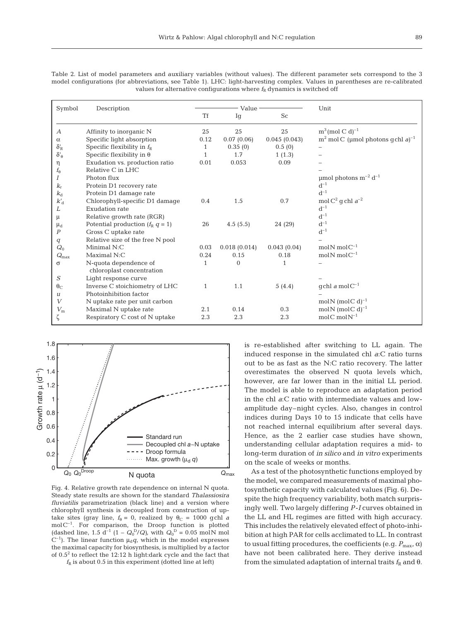| Symbol               | Description                                        | Value -      |              |              | Unit                                                     |  |
|----------------------|----------------------------------------------------|--------------|--------------|--------------|----------------------------------------------------------|--|
|                      |                                                    | <b>Tf</b>    | Ig           | <b>Sc</b>    |                                                          |  |
| $\boldsymbol{A}$     | Affinity to inorganic N                            | 25           | 25           | 25           | $m^3$ (mol C d) <sup>-1</sup>                            |  |
| $\alpha$             | Specific light absorption                          | 0.12         | 0.07(0.06)   | 0.045(0.043) | m <sup>2</sup> mol C (µmol photons gchl a) <sup>-1</sup> |  |
| $\delta'_{\rm R}$    | Specific flexibility in $f_{R}$                    | $\mathbf{1}$ | 0.35(0)      | 0.5(0)       |                                                          |  |
| $\delta'_{\theta}$   | Specific flexibility in $\theta$                   | 1            | 1.7          | 1(1.3)       |                                                          |  |
| η                    | Exudation vs. production ratio                     | 0.01         | 0.053        | 0.09         |                                                          |  |
| $f_{\theta}$         | Relative C in LHC                                  |              |              |              |                                                          |  |
|                      | Photon flux                                        |              |              |              | µmol photons $m^{-2} d^{-1}$                             |  |
| $k_{r}$              | Protein D1 recovery rate                           |              |              |              | $d^{-1}$                                                 |  |
| $k_d$                | Protein D1 damage rate                             |              |              |              | $d^{-1}$                                                 |  |
| $k_{\rm d}^{\prime}$ | Chlorophyll-specific D1 damage                     | 0.4          | 1.5          | 0.7          | mol C <sup>2</sup> q chl $a^{-2}$                        |  |
| L                    | Exudation rate                                     |              |              |              | $d^{-1}$                                                 |  |
| μ                    | Relative growth rate (RGR)                         |              |              |              | $d^{-1}$                                                 |  |
| $\mu_d$              | Potential production $(f_R q = 1)$                 | 26           | 4.5(5.5)     | 24 (29)      | $d^{-1}$                                                 |  |
| $\boldsymbol{P}$     | Gross C uptake rate                                |              |              |              | $d^{-1}$                                                 |  |
| q                    | Relative size of the free N pool                   |              |              |              |                                                          |  |
| $Q_0$                | Minimal N:C                                        | 0.03         | 0.018(0.014) | 0.043(0.04)  | mol $N$ mol $C^{-1}$                                     |  |
| $Q_{\rm max}$        | Maximal N:C                                        | 0.24         | 0.15         | 0.18         | mol $N$ mol $C^{-1}$                                     |  |
| σ                    | N-quota dependence of<br>chloroplast concentration | 1            | $\Omega$     |              |                                                          |  |
| S                    | Light response curve                               |              |              |              |                                                          |  |
| $\theta_{\rm C}$     | Inverse C stoichiometry of LHC                     | $\mathbf{1}$ | 1.1          | 5(4.4)       | $\text{gchl } a \text{ mol} \text{C}^{-1}$               |  |
| $\boldsymbol{u}$     | Photoinhibition factor                             |              |              |              |                                                          |  |
| $\bar{V}$            | N uptake rate per unit carbon                      |              |              |              | mol $N$ (mol $C$ d) <sup>-1</sup>                        |  |
| $V_{\rm m}$          | Maximal N uptake rate                              | 2.1          | 0.14         | 0.3          | mol $N$ (mol $C$ d) <sup>-1</sup>                        |  |
| ζ                    | Respiratory C cost of N uptake                     | 2.3          | 2.3          | 2.3          | mol $C$ mol $N^{-1}$                                     |  |

Table 2. List of model parameters and auxiliary variables (without values). The different parameter sets correspond to the 3 model configurations (for abbreviations, see Table 1). LHC: light-harvesting complex. Values in parentheses are re-calibrated values for alternative configurations where  $f_R$  dynamics is switched off



Fig. 4. Relative growth rate dependence on internal N quota. Steady state results are shown for the standard *Thalassiosira fluviatilis* parametrization (black line) and a version where chlorophyll synthesis is decoupled from construction of uptake sites (gray line,  $f_{\theta} = 0$ , realized by  $\theta_C = 1000$  gchl *a* molC–1. For comparison, the Droop function is plotted (dashed line, 1.5  $d^{-1}$  (1 –  $Q_0^D/Q$ ), with  $Q_0^D = 0.05$  molN mol  $C^{-1}$ ). The linear function  $\mu_d q$ , which in the model expresses the maximal capacity for biosynthesis, is multiplied by a factor of  $0.5<sup>2</sup>$  to reflect the 12:12 h light:dark cycle and the fact that

 $f_R$  is about 0.5 in this experiment (dotted line at left)

is re-established after switching to LL again. The induced response in the simulated chl *a*:C ratio turns out to be as fast as the N:C ratio recovery. The latter overestimates the observed N quota levels which, however, are far lower than in the initial LL period. The model is able to reproduce an adaptation period in the chl *a*:C ratio with intermediate values and lowamplitude day–night cycles. Also, changes in control indices during Days 10 to 15 indicate that cells have not reached internal equilibrium after several days. Hence, as the 2 earlier case studies have shown, understanding cellular adaptation requires a mid- to long-term duration of *in silico* and *in vitro* experiments on the scale of weeks or months.

As a test of the photosynthetic functions employed by the model, we compared measurements of maximal photosynthetic capacity with calculated values (Fig. 6). Despite the high frequency variability, both match surprisingly well. Two largely differing *P*-*I* curves obtained in the LL and HL regimes are fitted with high accuracy. This includes the relatively elevated effect of photo-inhibition at high PAR for cells acclimated to LL. In contrast to usual fitting procedures, the coefficients (e.g.  $P_{\text{max}}$ , α) have not been calibrated here. They derive instead from the simulated adaptation of internal traits  $f_R$  and  $\theta$ .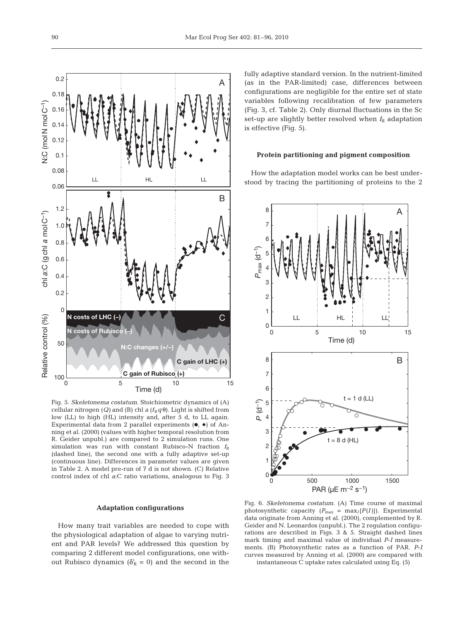

Fig. 5. *Skeletonema costatum*. Stoichiometric dynamics of (A) cellular nitrogen (*Q*) and (B) chl *a* ( $f_R q \theta$ ). Light is shifted from low (LL) to high (HL) intensity and, after 5 d, to LL again. Experimental data from 2 parallel experiments  $(\bullet, \bullet)$  of Anning et al. (2000) (values with higher temporal resolution from R. Geider unpubl.) are compared to 2 simulation runs. One simulation was run with constant Rubisco-N fraction  $f_R$ (dashed line), the second one with a fully adaptive set-up (continuous line). Differences in parameter values are given in Table 2. A model pre-run of 7 d is not shown. (C) Relative control index of chl *a*:C ratio variations, analogous to Fig. 3

#### **Adaptation configurations**

How many trait variables are needed to cope with the physiological adaptation of algae to varying nutrient and PAR levels? We addressed this question by comparing 2 different model configurations, one without Rubisco dynamics ( $\delta'_{R} = 0$ ) and the second in the

fully adaptive standard version. In the nutrient-limited (as in the PAR-limited) case, differences between configurations are negligible for the entire set of state variables following recalibration of few parameters (Fig. 3, cf. Table 2). Only diurnal fluctuations in the Sc set-up are slightly better resolved when  $f_R$  adaptation is effective (Fig. 5).

# **Protein partitioning and pigment composition**

How the adaptation model works can be best understood by tracing the partitioning of proteins to the 2



Fig. 6. *Skeletonema costatum*. (A) Time course of maximal photosynthetic capacity  $(P_{\text{max}} = \text{max}_I\{P(I)\})$ . Experimental data originate from Anning et al. (2000), complemented by R. Geider and N. Leonardos (unpubl.). The 2 regulation configurations are described in Figs. 3 & 5. Straight dashed lines mark timing and maximal value of individual *P*-*I* measurements. (B) Photosynthetic rates as a function of PAR. *P*-*I* curves measured by Anning et al. (2000) are compared with instantaneous C uptake rates calculated using Eq. (5)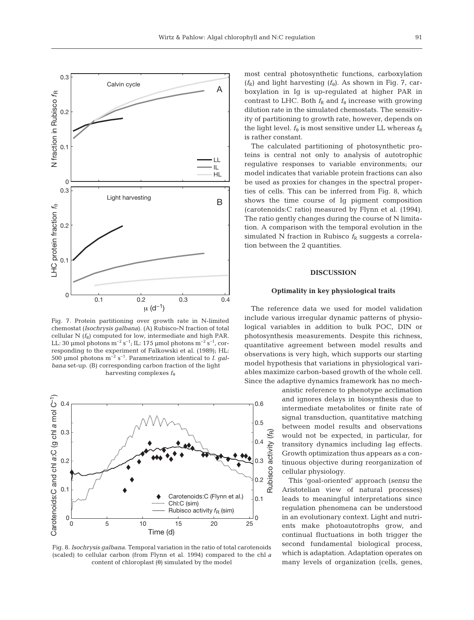

Fig. 7. Protein partitioning over growth rate in N-limited chemostat (*Isochrysis galbana*). (A) Rubisco-N fraction of total cellular  $N(f_R)$  computed for low, intermediate and high PAR. LL: 30 μmol photons  $m^{-2} s^{-1}$ ; IL: 175 μmol photons  $m^{-2} s^{-1}$ , corresponding to the experiment of Falkowski et al. (1989); HL: 500 μmol photons m–2 s–1. Parametrization identical to *I. galbana* set-up. (B) corresponding carbon fraction of the light harvesting complexes *f*<sub>θ</sub>



Fig. 8. *Isochrysis galbana*. Temporal variation in the ratio of total carotenoids (scaled) to cellular carbon (from Flynn et al. 1994) compared to the chl *a* content of chloroplast (θ) simulated by the model

most central photosynthetic functions, carboxylation  $(f_R)$  and light harvesting  $(f_\theta)$ . As shown in Fig. 7, carboxylation in Ig is up-regulated at higher PAR in contrast to LHC. Both  $f_R$  and  $f_\theta$  increase with growing dilution rate in the simulated chemostats. The sensitivity of partitioning to growth rate, however, depends on the light level.  $f_{\theta}$  is most sensitive under LL whereas  $f_{\text{R}}$ is rather constant.

The calculated partitioning of photosynthetic proteins is central not only to analysis of autotrophic regulative responses to variable environments; our model indicates that variable protein fractions can also be used as proxies for changes in the spectral properties of cells. This can be inferred from Fig. 8, which shows the time course of Ig pigment composition (carotenoids:C ratio) measured by Flynn et al. (1994). The ratio gently changes during the course of N limitation. A comparison with the temporal evolution in the simulated N fraction in Rubisco  $f<sub>R</sub>$  suggests a correlation between the 2 quantities.

# **DISCUSSION**

## **Optimality in key physiological traits**

The reference data we used for model validation include various irregular dynamic patterns of physiological variables in addition to bulk POC, DIN or photosynthesis measurements. Despite this richness, quantitative agreement between model results and observations is very high, which supports our starting model hypothesis that variations in physiological variables maximize carbon-based growth of the whole cell. Since the adaptive dynamics framework has no mech-

> anistic reference to phenotype acclimation and ignores delays in biosynthesis due to intermediate metabolites or finite rate of signal transduction, quantitative matching between model results and observations would not be expected, in particular, for transitory dynamics including lag effects. Growth optimization thus appears as a continuous objective during reorganization of cellular physiology.

> This 'goal-oriented' approach (*sensu* the Aristotelian view of natural processes) leads to meaningful interpretations since regulation phenomena can be understood in an evolutionary context. Light and nutrients make photoautotrophs grow, and continual fluctuations in both trigger the second fundamental biological process, which is adaptation. Adaptation operates on many levels of organization (cells, genes,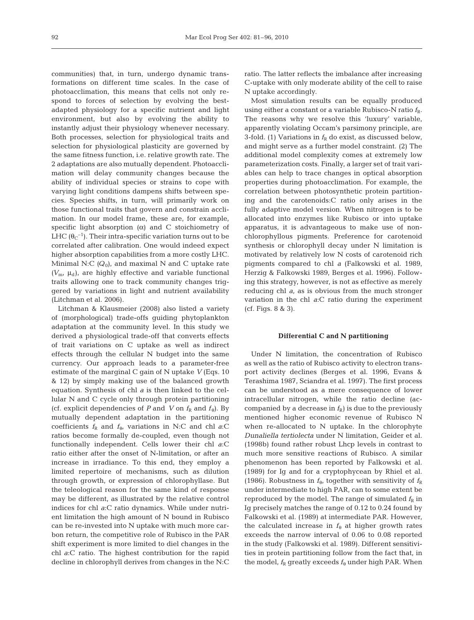communities) that, in turn, undergo dynamic transformations on different time scales. In the case of photoacclimation, this means that cells not only respond to forces of selection by evolving the bestadapted physiology for a specific nutrient and light environment, but also by evolving the ability to instantly adjust their physiology whenever necessary. Both processes, selection for physiological traits and selection for physiological plasticity are governed by the same fitness function, i.e. relative growth rate. The 2 adaptations are also mutually dependent. Photoacclimation will delay community changes because the ability of individual species or strains to cope with varying light conditions dampens shifts between species. Species shifts, in turn, will primarily work on those functional traits that govern and constrain acclimation. In our model frame, these are, for example, specific light absorption  $(\alpha)$  and C stoichiometry of LHC  $(\theta_C^{-1})$ . Their intra-specific variation turns out to be correlated after calibration. One would indeed expect higher absorption capabilities from a more costly LHC. Minimal N:C  $(Q_0)$ , and maximal N and C uptake rate  $(V_m, \mu_d)$ , are highly effective and variable functional traits allowing one to track community changes triggered by variations in light and nutrient availability (Litchman et al. 2006).

Litchman & Klausmeier (2008) also listed a variety of (morphological) trade-offs guiding phytoplankton adaptation at the community level. In this study we derived a physiological trade-off that converts effects of trait variations on C uptake as well as indirect effects through the cellular N budget into the same currency. Our approach leads to a parameter-free estimate of the marginal C gain of N uptake *V* (Eqs. 10 & 12) by simply making use of the balanced growth equation. Synthesis of chl *a* is then linked to the cellular N and C cycle only through protein partitioning (cf. explicit dependencies of *P* and *V* on  $f_R$  and  $f_\theta$ ). By mutually dependent adaptation in the partitioning coefficients  $f_R$  and  $f_{\theta}$ , variations in N:C and chl *a*:C ratios become formally de-coupled, even though not functionally independent. Cells lower their chl *a*:C ratio either after the onset of N-limitation, or after an increase in irradiance. To this end, they employ a limited repertoire of mechanisms, such as dilution through growth, or expression of chlorophyllase. But the teleological reason for the same kind of response may be different, as illustrated by the relative control indices for chl *a*:C ratio dynamics. While under nutrient limitation the high amount of N bound in Rubisco can be re-invested into N uptake with much more carbon return, the competitive role of Rubisco in the PAR shift experiment is more limited to diel changes in the chl *a*:C ratio. The highest contribution for the rapid decline in chlorophyll derives from changes in the N:C

ratio. The latter reflects the imbalance after increasing C-uptake with only moderate ability of the cell to raise N uptake accordingly.

Most simulation results can be equally produced using either a constant or a variable Rubisco-N ratio  $f_R$ . The reasons why we resolve this 'luxury' variable, apparently violating Occam's parsimony principle, are 3-fold. (1) Variations in  $f_R$  do exist, as discussed below, and might serve as a further model constraint. (2) The additional model complexity comes at extremely low parameterization costs. Finally, a larger set of trait variables can help to trace changes in optical absorption properties during photoacclimation. For example, the correlation between photosynthetic protein partitioning and the carotenoids:C ratio only arises in the fully adaptive model version. When nitrogen is to be allocated into enzymes like Rubisco or into uptake apparatus, it is advantageous to make use of nonchlorophyllous pigments. Preference for carotenoid synthesis or chlorophyll decay under N limitation is motivated by relatively low N costs of carotenoid rich pigments compared to chl *a* (Falkowski et al. 1989, Herzig & Falkowski 1989, Berges et al. 1996). Following this strategy, however, is not as effective as merely reducing chl *a*, as is obvious from the much stronger variation in the chl *a*:C ratio during the experiment (cf. Figs. 8 & 3).

## **Differential C and N partitioning**

Under N limitation, the concentration of Rubisco as well as the ratio of Rubisco activity to electron transport activity declines (Berges et al. 1996, Evans & Terashima 1987, Sciandra et al. 1997). The first process can be understood as a mere consequence of lower intracellular nitrogen, while the ratio decline (accompanied by a decrease in  $f_R$ ) is due to the previously mentioned higher economic revenue of Rubisco N when re-allocated to N uptake. In the chlorophyte *Dunaliella tertiolecta* under N limitation, Geider et al. (1998b) found rather robust Lhcp levels in contrast to much more sensitive reactions of Rubisco. A similar phenomenon has been reported by Falkowski et al. (1989) for Ig and for a cryptophycean by Rhiel et al. (1986). Robustness in  $f_{\theta}$ , together with sensitivity of  $f_{\text{R}}$ under intermediate to high PAR, can to some extent be reproduced by the model. The range of simulated  $f_R$  in Ig precisely matches the range of 0.12 to 0.24 found by Falkowski et al. (1989) at intermediate PAR. However, the calculated increase in  $f_{\theta}$  at higher growth rates exceeds the narrow interval of 0.06 to 0.08 reported in the study (Falkowski et al. 1989). Different sensitivities in protein partitioning follow from the fact that, in the model,  $f_R$  greatly exceeds  $f_\theta$  under high PAR. When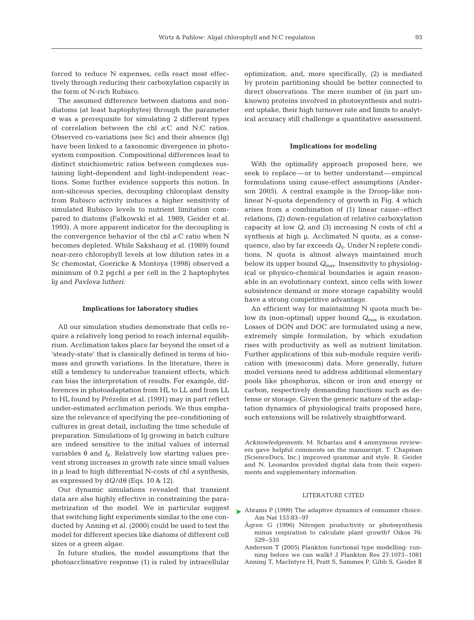forced to reduce N expenses, cells react most effectively through reducing their carboxylation capacity in the form of N-rich Rubisco.

The assumed difference between diatoms and nondiatoms (at least haptophytes) through the parameter σ was a prerequisite for simulating 2 different types of correlation between the chl *a*:C and N:C ratios. Observed co-variations (see Sc) and their absence (Ig) have been linked to a taxonomic divergence in photosystem composition. Compositional differences lead to distinct stoichiometric ratios between complexes sustaining light-dependent and light-independent reactions. Some further evidence supports this notion. In non-siliceous species, decoupling chloroplast density from Rubisco activity induces a higher sensitivity of simulated Rubisco levels to nutrient limitation compared to diatoms (Falkowski et al. 1989, Geider et al. 1993). A more apparent indicator for the decoupling is the convergence behavior of the chl *a*:C ratio when N becomes depleted. While Sakshaug et al. (1989) found near-zero chlorophyll levels at low dilution rates in a Sc chemostat, Goericke & Montoya (1998) observed a minimum of 0.2 pgchl *a* per cell in the 2 haptophytes Ig and *Pavlova lutheri*.

#### **Implications for laboratory studies**

All our simulation studies demonstrate that cells require a relatively long period to reach internal equilibrium. Acclimation takes place far beyond the onset of a 'steady-state' that is classically defined in terms of biomass and growth variations. In the literature, there is still a tendency to undervalue transient effects, which can bias the interpretation of results. For example, differences in photoadaptation from HL to LL and from LL to HL found by Prézelin et al. (1991) may in part reflect under-estimated acclimation periods. We thus emphasize the relevance of specifying the pre-conditioning of cultures in great detail, including the time schedule of preparation. Simulations of Ig growing in batch culture are indeed sensitive to the initial values of internal variables θ and  $f_R$ . Relatively low starting values prevent strong increases in growth rate since small values in μ lead to high differential N-costs of chl *a* synthesis, as expressed by d*Q*/dθ (Eqs. 10 & 12).

Our dynamic simulations revealed that transient data are also highly effective in constraining the parametrization of the model. We in particular suggest that switching light experiments similar to the one conducted by Anning et al. (2000) could be used to test the model for different species like diatoms of different cell sizes or a green algae.

In future studies, the model assumptions that the photoacclimative response (1) is ruled by intracellular optimization, and, more specifically, (2) is mediated by protein partitioning should be better connected to direct observations. The mere number of (in part unknown) proteins involved in photosynthesis and nutrient uptake, their high turnover rate and limits to analytical accuracy still challenge a quantitative assessment.

## **Implications for modeling**

With the optimality approach proposed here, we seek to replace— or to better understand— empirical formulations using cause-effect assumptions (Anderson 2005). A central example is the Droop-like nonlinear N-quota dependency of growth in Fig. 4 which arises from a combination of (1) linear cause–effect relations, (2) down-regulation of relative carboxylation capacity at low *Q*, and (3) increasing N costs of chl *a* synthesis at high μ. Acclimated N quota, as a consequence, also by far exceeds *Q*0. Under N replete conditions, N quota is almost always maintained much below its upper bound *Q*max. Insensitivity to physiological or physico-chemical boundaries is again reasonable in an evolutionary context, since cells with lower subsistence demand or more storage capability would have a strong competitive advantage.

An efficient way for maintaining N quota much below its (non-optimal) upper bound  $Q_{\text{max}}$  is exudation. Losses of DON and DOC are formulated using a new, extremely simple formulation, by which exudation rises with productivity as well as nutrient limitation. Further applications of this sub-module require verification with (mesocosm) data. More generally, future model versions need to address additional elementary pools like phosphorus, silicon or iron and energy or carbon, respectively demanding functions such as defense or storage. Given the generic nature of the adaptation dynamics of physiological traits proposed here, such extensions will be relatively straightforward.

*Acknowledgements.* M. Schartau and 4 anonymous reviewers gave helpful comments on the manuscript. T. Chapman (ScienceDocs, Inc.) improved grammar and style. R. Geider and N. Leonardos provided digital data from their experiments and supplementary information.

## LITERATURE CITED

- ▶ Abrams P (1999) The adaptive dynamics of consumer choice. Am Nat 153:83–97
	- Ågren G (1996) Nitrogen productivity or photosynthesis minus respiration to calculate plant growth? Oikos 76: 529–535
	- Anderson T (2005) Plankton functional type modelling: running before we can walk? J Plankton Res 27:1073–1081
	- Anning T, MacIntyre H, Pratt S, Sammes P, Gibb S, Geider R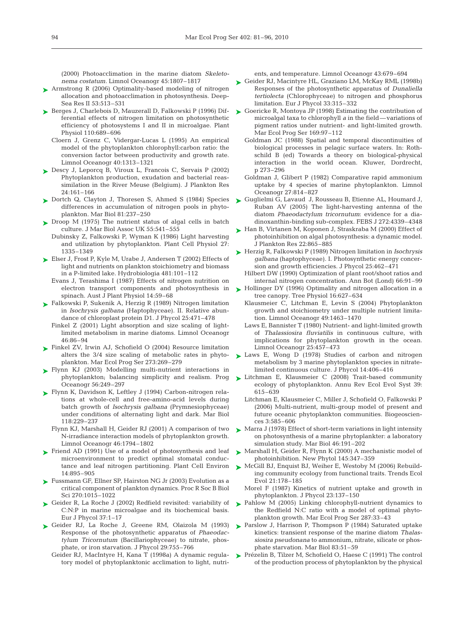(2000) Photoacclimation in the marine diatom *Skeletonema costatum.* Limnol Oceanogr 45:1807–1817

- Armstrong R (2006) Optimality-based modeling of nitrogen allocation and photoacclimation in photosynthesis. Deep-Sea Res II 53:513–531 ➤
- ► Berges J, Charlebois D, Mauzerall D, Falkowski P (1996) Differential effects of nitrogen limitation on photosynthetic efficiency of photosystems I and II in microalgae. Plant Physiol 110:689–696
	- Cloern J, Grenz C, Vidergar-Lucas L (1995) An empirical model of the phytoplankton chlorophyll:carbon ratio: the conversion factor between productivity and growth rate. Limnol Oceanogr 40:1313–1321
- ► Descy J, Leporcq B, Viroux L, Francois C, Servais P (2002) Phytoplankton production, exudation and bacterial reassimilation in the River Meuse (Belgium). J Plankton Res 24:161–166
- ► Dortch Q, Clayton J, Thoresen S, Ahmed S (1984) Species differences in accumulation of nitrogen pools in phytoplankton. Mar Biol 81:237–250
- ► Droop M (1975) The nutrient status of algal cells in batch culture. J Mar Biol Assoc UK 55:541–555
	- Dubinsky Z, Falkowski P, Wyman K (1986) Light harvesting and utilization by phytoplankton. Plant Cell Physiol 27: 1335–1349
- Elser J, Frost P, Kyle M, Urabe J, Andersen T (2002) Effects of ➤ light and nutrients on plankton stoichiometry and biomass in a P-limited lake. Hydrobiologia 481:101–112
	- Evans J, Terashima I (1987) Effects of nitrogen nutrition on electron transport components and photosynthesis in spinach. Aust J Plant Physiol 14:59–68
- ► Falkowski P, Sukenik A, Herzig R (1989) Nitrogen limitation in *Isochrysis galbana* (Haptophyceae). II. Relative abundance of chloroplast protein D1. J Phycol 25:471–478
	- Finkel Z (2001) Light absorption and size scaling of lightlimited metabolism in marine diatoms. Limnol Oceanogr 46:86–94
- ▶ Finkel ZV, Irwin AJ, Schofield O (2004) Resource limitation alters the 3/4 size scaling of metabolic rates in phytoplankton. Mar Ecol Prog Ser 273:269–279
- Flynn KJ (2003) Modelling multi-nutrient interactions in ➤ phytoplankton; balancing simplicity and realism. Prog Oceanogr 56:249–297
- ► Flynn K, Davidson K, Leftley J (1994) Carbon-nitrogen relations at whole-cell and free-amino-acid levels during batch growth of *Isochrysis galbana* (Prymnesiophyceae) under conditions of alternating light and dark. Mar Biol 118:229–237
	- Flynn KJ, Marshall H, Geider RJ (2001) A comparison of two N-irradiance interaction models of phytoplankton growth. Limnol Oceanogr 46:1794–1802
- ► Friend AD (1991) Use of a model of photosynthesis and leaf microenvironment to predict optimal stomatal conductance and leaf nitrogen partitioning. Plant Cell Environ 14:895–905
- ► Fussmann GF, Ellner SP, Hairston NG Jr (2003) Evolution as a critical component of plankton dynamics. Proc R Soc B Biol Sci 270:1015–1022
- ► Geider R, La Roche J (2002) Redfield revisited: variability of C:N:P in marine microalgae and its biochemical basis. Eur J Phycol 37:1–17
- ▶ Geider RJ, La Roche J, Greene RM, Olaizola M (1993) Response of the photosynthetic apparatus of *Phaeodactylum Tricornutum* (Bacillariophyceae) to nitrate, phosphate, or iron starvation. J Phycol 29:755–766
	- Geider RJ, MacIntyre H, Kana T (1998a) A dynamic regulatory model of phytoplanktonic acclimation to light, nutri-

ents, and temperature. Limnol Oceanogr 43:679–694

- ► Geider RJ, Macintyre HL, Graziano LM, McKay RML (1998b) Responses of the photosynthetic apparatus of *Dunaliella tertiolecta* (Chlorophyceae) to nitrogen and phosphorus limitation. Eur J Phycol 33:315–332
- ► Goericke R, Montoya JP (1998) Estimating the contribution of microalgal taxa to chlorophyll *a* in the field— variations of pigment ratios under nutrient- and light-limited growth. Mar Ecol Prog Ser 169:97–112
	- Goldman JC (1988) Spatial and temporal discontinuities of biological processes in pelagic surface waters. In: Rothschild B (ed) Towards a theory on biological-physical interaction in the world ocean. Kluwer, Dordrecht, p 273–296
	- Goldman J, Glibert P (1982) Comparative rapid ammonium uptake by 4 species of marine phytoplankton. Limnol Oceanogr 27:814–827
- ► Guglielmi G, Lavaud J, Rousseau B, Etienne AL, Houmard J, Ruban AV (2005) The light-harvesting antenna of the diatom *Phaeodactylum tricornutum*: evidence for a diadinoxanthin-binding sub-complex. FEBS J 272:4339–4348
- ► Han B, Virtanen M, Koponen J, Straskraba M (2000) Effect of photoinhibition on algal photosynthesis: a dynamic model. J Plankton Res 22:865–885
- Herzig R, Falkowski P (1989) Nitrogen limitation in *Isochrysis* ➤ *galbana* (haptophyceae). I. Photosynthetic energy concersion and growth efficiencies. J Phycol 25:462–471
	- Hilbert DW (1990) Optimization of plant root/shoot ratios and internal nitrogen concentration. Ann Bot (Lond) 66:91–99
- ► Hollinger DY (1996) Optimality and nitrogen allocation in a tree canopy. Tree Physiol 16:627–634
	- Klausmeier C, Litchman E, Levin S (2004) Phytoplankton growth and stoichiometry under multiple nutrient limitation. Limnol Oceanogr 49:1463–1470
	- Laws E, Bannister T (1980) Nutrient- and light-limited growth of *Thalassiosira fluviatilis* in continuous culture, with implications for phytoplankton growth in the ocean. Limnol Oceanogr 25:457–473
- ► Laws E, Wong D (1978) Studies of carbon and nitrogen metabolism by 3 marine phytoplankton species in nitratelimited continuous culture. J Phycol 14:406–416
- ► Litchman E, Klausmeier C (2008) Trait-based community ecology of phytoplankton. Annu Rev Ecol Evol Syst 39: 615–639
	- Litchman E, Klausmeier C, Miller J, Schofield O, Falkowski P (2006) Multi-nutrient, multi-group model of present and future oceanic phytoplankton communities. Biogeosciences 3:585–606
- ► Marra J (1978) Effect of short-term variations in light intensity on photosynthesis of a marine phytoplankter: a laboratory simulation study. Mar Biol 46:191–202
- ▶ Marshall H, Geider R, Flynn K (2000) A mechanistic model of photoinhibition. New Phytol 145:347–359
- ► McGill BJ, Enquist BJ, Weiher E, Westoby M (2006) Rebuilding community ecology from functional traits. Trends Ecol Evol 21:178–185
	- Morel F (1987) Kinetics of nutrient uptake and growth in phytoplankton. J Phycol 23:137–150
- ▶ Pahlow M (2005) Linking chlorophyll-nutrient dynamics to the Redfield N:C ratio with a model of optimal phytoplankton growth. Mar Ecol Prog Ser 287:33–43
- ▶ Parslow J, Harrison P, Thompson P (1984) Saturated uptake kinetics: transient response of the marine diatom *Thalassiosira pseudonana* to ammonium, nitrate, silicate or phosphate starvation. Mar Biol 83:51–59
- ▶ Prézelin B, Tilzer M, Schofield O, Haese C (1991) The control of the production process of phytoplankton by the physical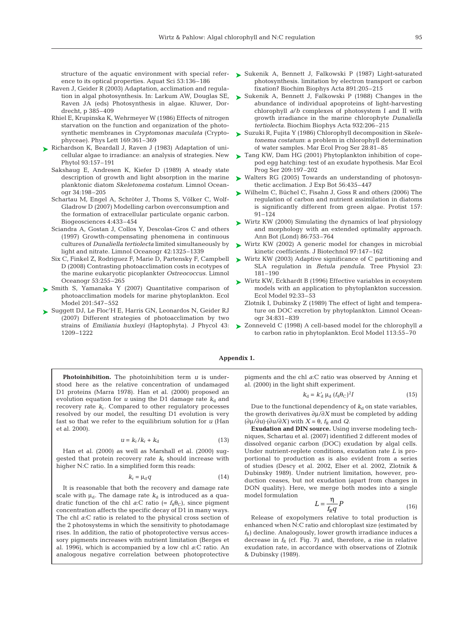structure of the aquatic environment with special reference to its optical properties. Aquat Sci 53:136–186

- Raven J, Geider R (2003) Adaptation, acclimation and regulation in algal photosynthesis. In: Larkum AW, Douglas SE, Raven JA (eds) Photosynthesis in algae. Kluwer, Dordrecht, p 385–409
- Rhiel E, Krupinska K, Wehrmeyer W (1986) Effects of nitrogen starvation on the function and organization of the photosynthetic membranes in *Cryptomonas maculata* (Cryptophyceae). Phys Lett 169:361–369
- ► Richardson K, Beardall J, Raven J (1983) Adaptation of unicellular algae to irradiance: an analysis of strategies. New Phytol 93:157–191
	- Sakshaug E, Andresen K, Kiefer D (1989) A steady state description of growth and light absorption in the marine planktonic diatom *Skeletonema costatum.* Limnol Oceanogr 34:198–205
	- Schartau M, Engel A, Schröter J, Thoms S, Völker C, Wolf-Gladrow D (2007) Modelling carbon overconsumption and the formation of extracellular particulate organic carbon. Biogeosciences 4:433–454
	- Sciandra A, Gostan J, Collos Y, Descolas-Gros C and others (1997) Growth-compensating phenomena in continuous cultures of *Dunaliella tertiolecta* limited simultaneously by light and nitrate. Limnol Oceanogr 42:1325–1339
	- Six C, Finkel Z, Rodriguez F, Marie D, Partensky F, Campbell D (2008) Contrasting photoacclimation costs in ecotypes of the marine eukaryotic picoplankter *Ostreococcus.* Limnol Oceanogr 53:255–265
- ► Smith S, Yamanaka Y (2007) Quantitative comparison of photoacclimation models for marine phytoplankton. Ecol Model 201:547–552
- ► Suggett DJ, Le Floc'H E, Harris GN, Leonardos N, Geider RJ (2007) Different strategies of photoacclimation by two strains of *Emiliania huxleyi* (Haptophyta). J Phycol 43: 1209–1222
- ► Sukenik A, Bennett J, Falkowski P (1987) Light-saturated photosynthesis. limitation by electron transport or carbon fixation? Biochim Biophys Acta 891:205–215
- ► Sukenik A, Bennett J, Falkowski P (1988) Changes in the abundance of individual apoproteins of light-harvesting chlorophyll *a*/*b* complexes of photosystem I and II with growth irradiance in the marine chlorophyte *Dunaliella tertiolecta.* Biochim Biophys Acta 932:206–215
- Suzuki R, Fujita Y (1986) Chlorophyll decomposition in *Skele-*➤ *tonema costatum*: a problem in chlorophyll determination of water samples. Mar Ecol Prog Ser 28:81–85
- ► Tang KW, Dam HG (2001) Phytoplankton inhibition of copepod egg hatching: test of an exudate hypothesis. Mar Ecol Prog Ser 209:197–202
- ► Walters RG (2005) Towards an understanding of photosynthetic acclimation. J Exp Bot 56:435–447
- ► Wilhelm C, Büchel C, Fisahn J, Goss R and others (2006) The regulation of carbon and nutrient assimilation in diatoms is significantly different from green algae. Protist 157: 91–124
- ► Wirtz KW (2000) Simulating the dynamics of leaf physiology and morphology with an extended optimality approach. Ann Bot (Lond) 86:753–764
- ► Wirtz KW (2002) A generic model for changes in microbial kinetic coefficients. J Biotechnol 97:147–162
- ► Wirtz KW (2003) Adaptive significance of C partitioning and SLA regulation in *Betula pendula.* Tree Physiol 23: 181–190
- ► Wirtz KW, Eckhardt B (1996) Effective variables in ecosystem models with an application to phytoplankton succession. Ecol Model 92:33–53
	- Zlotnik I, Dubinsky Z (1989) The effect of light and temperature on DOC excretion by phytoplankton. Limnol Oceanogr 34:831–839
- Zonneveld C (1998) A cell-based model for the chlorophyll *a* ➤to carbon ratio in phytoplankton. Ecol Model 113:55–70

### **Appendix 1.**

**Photoinhibition.** The photoinhibition term *u* is understood here as the relative concentration of undamaged D1 proteins (Marra 1978). Han et al. (2000) proposed an evolution equation for  $u$  using the D1 damage rate  $k_d$  and recovery rate  $k_r$ . Compared to other regulatory processes resolved by our model, the resulting D1 evolution is very fast so that we refer to the equilibrium solution for *u* (Han et al. 2000).

$$
u = k_{\rm r}/k_{\rm r} + k_{\rm d} \tag{13}
$$

Han et al. (2000) as well as Marshall et al. (2000) suggested that protein recovery rate *k*<sup>r</sup> should increase with higher N:C ratio. In a simplified form this reads:

$$
k_{\rm r} = \mu_{\rm d} q \tag{14}
$$

It is reasonable that both the recovery and damage rate scale with  $\mu_d$ . The damage rate  $k_d$  is introduced as a quadratic function of the chl *a*:C ratio (=  $f_{\theta}$  $\theta$ <sub>C</sub>), since pigment concentration affects the specific decay of D1 in many ways. The chl *a*:C ratio is related to the physical cross section of the 2 photosystems in which the sensitivity to photodamage rises. In addition, the ratio of photoprotective versus accessory pigments increases with nutrient limitation (Berges et al. 1996), which is accompanied by a low chl *a*:C ratio. An analogous negative correlation between photoprotective

pigments and the chl *a*:C ratio was observed by Anning et al. (2000) in the light shift experiment.

$$
k_{\rm d} = k'_{\rm d} \mu_{\rm d} \left( f_{\theta} \theta_{\rm C} \right)^2 I \tag{15}
$$

Due to the functional dependency of  $k_d$  on state variables, the growth derivatives ∂μ/∂*X* must be completed by adding  $(\partial \mu / \partial u) \cdot (\partial u / \partial X)$  with  $X = \theta$ ,  $f_R$  and *Q*.

**Exudation and DIN source.** Using inverse modeling techniques, Schartau et al. (2007) identified 2 different modes of dissolved organic carbon (DOC) exudation by algal cells. Under nutrient-replete conditions, exudation rate *L* is proportional to production as is also evident from a series of studies (Descy et al. 2002, Elser et al. 2002, Zlotnik & Dubinsky 1989). Under nutrient limitation, however, production ceases, but not exudation (apart from changes in DON quality). Here, we merge both modes into a single model formulation

$$
L = \frac{\eta}{f_{\rm R}q}P\tag{16}
$$

Release of exopolymers relative to total production is enhanced when N:C ratio and chloroplast size (estimated by  $f_R$ ) decline. Analogously, lower growth irradiance induces a decrease in  $f_R$  (cf. Fig. 7) and, therefore, a rise in relative exudation rate, in accordance with observations of Zlotnik & Dubinsky (1989).